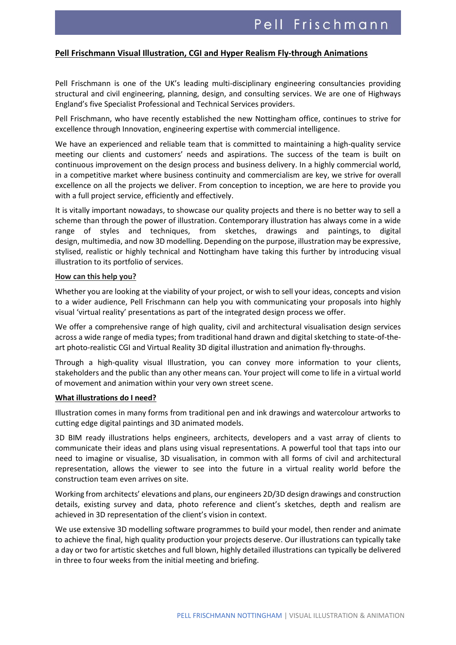# **Pell Frischmann Visual Illustration, CGI and Hyper Realism Fly-through Animations**

Pell Frischmann is one of the UK's leading multi-disciplinary engineering consultancies providing structural and civil engineering, planning, design, and consulting services. We are one of Highways England's five Specialist Professional and Technical Services providers.

Pell Frischmann, who have recently established the new Nottingham office, continues to strive for excellence through Innovation, engineering expertise with commercial intelligence.

We have an experienced and reliable team that is committed to maintaining a high-quality service meeting our clients and customers' needs and aspirations. The success of the team is built on continuous improvement on the design process and business delivery. In a highly commercial world, in a competitive market where business continuity and commercialism are key, we strive for overall excellence on all the projects we deliver. From conception to inception, we are here to provide you with a full project service, efficiently and effectively.

It is vitally important nowadays, to showcase our quality projects and there is no better way to sell a scheme than through the power of illustration. Contemporary illustration has always come in a wide range of styles and techniques, from sketches, drawings and paintings, to digital design, multimedia, and now 3D modelling. Depending on the purpose, illustration may be expressive, stylised, realistic or highly technical and Nottingham have taking this further by introducing visual illustration to its portfolio of services.

#### **How can this help you?**

Whether you are looking at the viability of your project, or wish to sell your ideas, concepts and vision to a wider audience, Pell Frischmann can help you with communicating your proposals into highly visual 'virtual reality' presentations as part of the integrated design process we offer.

We offer a comprehensive range of high quality, civil and architectural visualisation design services across a wide range of media types; from traditional hand drawn and digital sketching to state-of-theart photo-realistic CGI and Virtual Reality 3D digital illustration and animation fly-throughs.

Through a high-quality visual Illustration, you can convey more information to your clients, stakeholders and the public than any other means can. Your project will come to life in a virtual world of movement and animation within your very own street scene.

#### **What illustrations do I need?**

Illustration comes in many forms from traditional pen and ink drawings and watercolour artworks to cutting edge digital paintings and 3D animated models.

3D BIM ready illustrations helps engineers, architects, developers and a vast array of clients to communicate their ideas and plans using visual representations. A powerful tool that taps into our need to imagine or visualise, 3D visualisation, in common with all forms of civil and architectural representation, allows the viewer to see into the future in a virtual reality world before the construction team even arrives on site.

Working from architects' elevations and plans, our engineers 2D/3D design drawings and construction details, existing survey and data, photo reference and client's sketches, depth and realism are achieved in 3D representation of the client's vision in context.

We use extensive 3D modelling software programmes to build your model, then render and animate to achieve the final, high quality production your projects deserve. Our illustrations can typically take a day or two for artistic sketches and full blown, highly detailed illustrations can typically be delivered in three to four weeks from the initial meeting and briefing.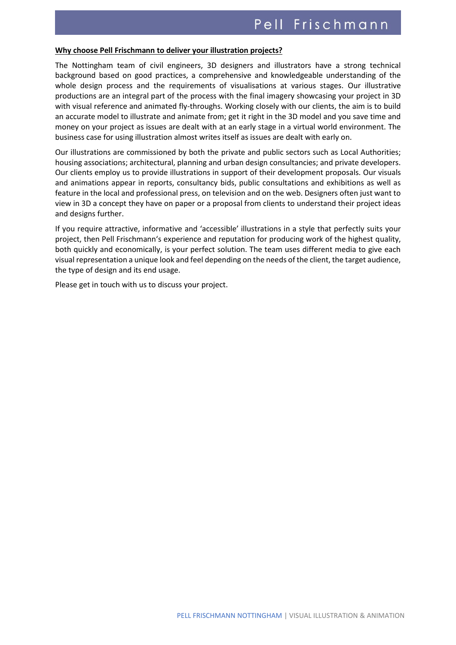#### **Why choose Pell Frischmann to deliver your illustration projects?**

The Nottingham team of civil engineers, 3D designers and illustrators have a strong technical background based on good practices, a comprehensive and knowledgeable understanding of the whole design process and the requirements of visualisations at various stages. Our illustrative productions are an integral part of the process with the final imagery showcasing your project in 3D with visual reference and animated fly-throughs. Working closely with our clients, the aim is to build an accurate model to illustrate and animate from; get it right in the 3D model and you save time and money on your project as issues are dealt with at an early stage in a virtual world environment. The business case for using illustration almost writes itself as issues are dealt with early on.

Our illustrations are commissioned by both the private and public sectors such as Local Authorities; housing associations; architectural, planning and urban design consultancies; and private developers. Our clients employ us to provide illustrations in support of their development proposals. Our visuals and animations appear in reports, consultancy bids, public consultations and exhibitions as well as feature in the local and professional press, on television and on the web. Designers often just want to view in 3D a concept they have on paper or a proposal from clients to understand their project ideas and designs further.

If you require attractive, informative and 'accessible' illustrations in a style that perfectly suits your project, then Pell Frischmann's experience and reputation for producing work of the highest quality, both quickly and economically, is your perfect solution. The team uses different media to give each visual representation a unique look and feel depending on the needs of the client, the target audience, the type of design and its end usage.

Please get in touch with us to discuss your project.